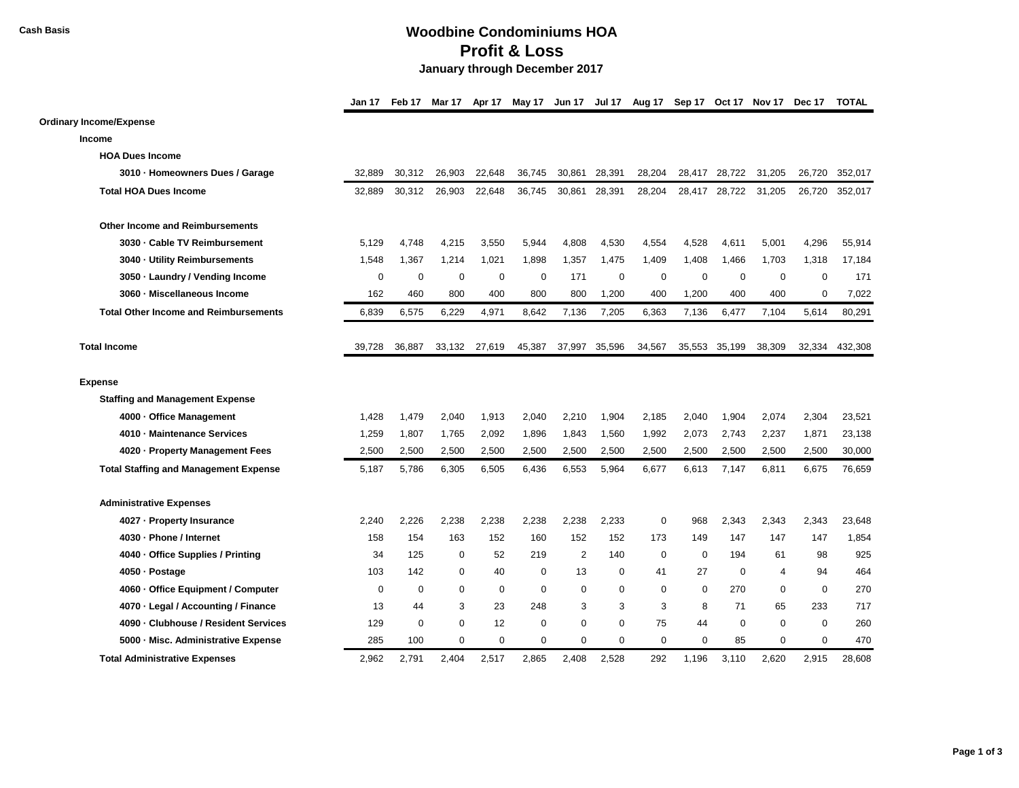## **Cash Basis Woodbine Condominiums HOA Profit & Loss January through December 2017**

|                                              | Jan 17      | Feb 17      | Mar 17      | Apr 17        |             |                |               |             |             |             |             | May 17 Jun 17 Jul 17 Aug 17 Sep 17 Oct 17 Nov 17 Dec 17 | <b>TOTAL</b> |
|----------------------------------------------|-------------|-------------|-------------|---------------|-------------|----------------|---------------|-------------|-------------|-------------|-------------|---------------------------------------------------------|--------------|
| <b>Ordinary Income/Expense</b>               |             |             |             |               |             |                |               |             |             |             |             |                                                         |              |
| <b>Income</b>                                |             |             |             |               |             |                |               |             |             |             |             |                                                         |              |
| <b>HOA Dues Income</b>                       |             |             |             |               |             |                |               |             |             |             |             |                                                         |              |
| 3010 · Homeowners Dues / Garage              | 32,889      | 30,312      | 26,903      | 22,648        | 36,745      | 30,861         | 28,391        | 28,204      | 28,417      | 28,722      | 31,205      | 26,720                                                  | 352,017      |
| <b>Total HOA Dues Income</b>                 | 32,889      | 30,312      | 26,903      | 22,648        | 36.745      | 30,861         | 28,391        | 28,204      | 28,417      | 28,722      | 31,205      | 26,720                                                  | 352,017      |
| <b>Other Income and Reimbursements</b>       |             |             |             |               |             |                |               |             |             |             |             |                                                         |              |
| 3030 - Cable TV Reimbursement                | 5,129       | 4,748       | 4,215       | 3,550         | 5,944       | 4,808          | 4,530         | 4,554       | 4,528       | 4,611       | 5,001       | 4,296                                                   | 55,914       |
| 3040 · Utility Reimbursements                | 1,548       | 1,367       | 1,214       | 1,021         | 1,898       | 1,357          | 1,475         | 1,409       | 1,408       | 1,466       | 1,703       | 1,318                                                   | 17,184       |
| 3050 · Laundry / Vending Income              | $\mathbf 0$ | $\mathbf 0$ | $\mathbf 0$ | $\mathbf 0$   | 0           | 171            | 0             | 0           | 0           | $\mathbf 0$ | $\mathbf 0$ | 0                                                       | 171          |
| 3060 - Miscellaneous Income                  | 162         | 460         | 800         | 400           | 800         | 800            | 1,200         | 400         | 1,200       | 400         | 400         | $\mathbf 0$                                             | 7,022        |
| <b>Total Other Income and Reimbursements</b> | 6,839       | 6,575       | 6,229       | 4,971         | 8,642       | 7,136          | 7,205         | 6,363       | 7,136       | 6,477       | 7,104       | 5,614                                                   | 80,291       |
| <b>Total Income</b>                          | 39.728      | 36,887      |             | 33,132 27,619 | 45,387      |                | 37,997 35,596 | 34,567      | 35,553      | 35,199      | 38.309      | 32.334                                                  | 432,308      |
| <b>Expense</b>                               |             |             |             |               |             |                |               |             |             |             |             |                                                         |              |
| <b>Staffing and Management Expense</b>       |             |             |             |               |             |                |               |             |             |             |             |                                                         |              |
| 4000 Office Management                       | 1,428       | 1,479       | 2,040       | 1,913         | 2,040       | 2,210          | 1,904         | 2,185       | 2,040       | 1,904       | 2,074       | 2,304                                                   | 23,521       |
| 4010 - Maintenance Services                  | 1,259       | 1,807       | 1,765       | 2,092         | 1,896       | 1,843          | 1,560         | 1,992       | 2,073       | 2,743       | 2,237       | 1,871                                                   | 23,138       |
| 4020 - Property Management Fees              | 2,500       | 2,500       | 2,500       | 2,500         | 2,500       | 2,500          | 2,500         | 2,500       | 2,500       | 2,500       | 2,500       | 2,500                                                   | 30,000       |
| <b>Total Staffing and Management Expense</b> | 5,187       | 5,786       | 6,305       | 6,505         | 6,436       | 6,553          | 5,964         | 6,677       | 6,613       | 7,147       | 6,811       | 6,675                                                   | 76,659       |
| <b>Administrative Expenses</b>               |             |             |             |               |             |                |               |             |             |             |             |                                                         |              |
| 4027 - Property Insurance                    | 2,240       | 2,226       | 2,238       | 2,238         | 2,238       | 2,238          | 2,233         | $\mathbf 0$ | 968         | 2,343       | 2,343       | 2,343                                                   | 23,648       |
| 4030 · Phone / Internet                      | 158         | 154         | 163         | 152           | 160         | 152            | 152           | 173         | 149         | 147         | 147         | 147                                                     | 1,854        |
| 4040 - Office Supplies / Printing            | 34          | 125         | $\mathbf 0$ | 52            | 219         | $\overline{2}$ | 140           | $\mathbf 0$ | $\mathbf 0$ | 194         | 61          | 98                                                      | 925          |
| 4050 · Postage                               | 103         | 142         | $\mathbf 0$ | 40            | $\Omega$    | 13             | 0             | 41          | 27          | $\Omega$    | 4           | 94                                                      | 464          |
| 4060 · Office Equipment / Computer           | $\mathbf 0$ | $\mathbf 0$ | $\mathbf 0$ | $\mathbf 0$   | $\Omega$    | $\mathbf 0$    | $\mathbf 0$   | $\mathbf 0$ | $\mathbf 0$ | 270         | $\mathbf 0$ | $\mathbf 0$                                             | 270          |
| 4070 · Legal / Accounting / Finance          | 13          | 44          | 3           | 23            | 248         | 3              | 3             | 3           | 8           | 71          | 65          | 233                                                     | 717          |
| 4090 · Clubhouse / Resident Services         | 129         | $\mathbf 0$ | $\mathbf 0$ | 12            | $\mathbf 0$ | $\mathbf 0$    | $\mathbf 0$   | 75          | 44          | $\mathbf 0$ | $\mathbf 0$ | $\mathbf 0$                                             | 260          |
| 5000 - Misc. Administrative Expense          | 285         | 100         | 0           | $\mathbf 0$   | $\mathbf 0$ | $\mathbf 0$    | 0             | $\mathbf 0$ | $\mathbf 0$ | 85          | $\mathbf 0$ | 0                                                       | 470          |
| <b>Total Administrative Expenses</b>         | 2,962       | 2,791       | 2,404       | 2,517         | 2,865       | 2,408          | 2,528         | 292         | 1,196       | 3,110       | 2,620       | 2,915                                                   | 28,608       |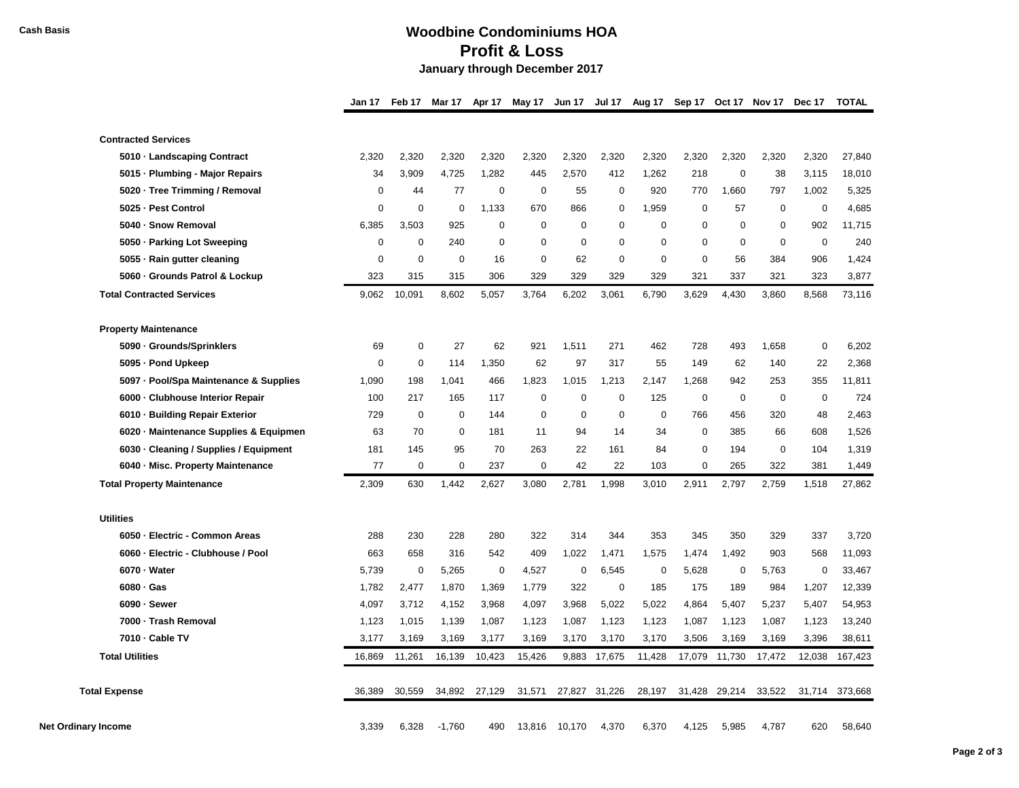## **Cash Basis Woodbine Condominiums HOA Profit & Loss January through December 2017**

| Jan 17 Feb 17 Mar 17 Apr 17 May 17 Jun 17 Jul 17 Aug 17 Sep 17 Oct 17 Nov 17 Dec 17 TOTAL |  |  |  |  |  |  |  |  |  |  |  |  |
|-------------------------------------------------------------------------------------------|--|--|--|--|--|--|--|--|--|--|--|--|
|-------------------------------------------------------------------------------------------|--|--|--|--|--|--|--|--|--|--|--|--|

| <b>Contracted Services</b>             |             |             |             |             |             |             |             |             |             |             |             |             |         |
|----------------------------------------|-------------|-------------|-------------|-------------|-------------|-------------|-------------|-------------|-------------|-------------|-------------|-------------|---------|
| 5010 · Landscaping Contract            | 2,320       | 2,320       | 2,320       | 2,320       | 2,320       | 2,320       | 2,320       | 2,320       | 2,320       | 2,320       | 2,320       | 2,320       | 27,840  |
| 5015 · Plumbing - Major Repairs        | 34          | 3,909       | 4,725       | 1,282       | 445         | 2,570       | 412         | 1,262       | 218         | $\mathbf 0$ | 38          | 3,115       | 18,010  |
| 5020 · Tree Trimming / Removal         | 0           | 44          | 77          | $\mathbf 0$ | $\mathbf 0$ | 55          | 0           | 920         | 770         | 1,660       | 797         | 1,002       | 5,325   |
| 5025 - Pest Control                    | $\mathbf 0$ | $\Omega$    | 0           | 1,133       | 670         | 866         | $\Omega$    | 1,959       | $\Omega$    | 57          | $\mathbf 0$ | $\mathbf 0$ | 4,685   |
| 5040 - Snow Removal                    | 6,385       | 3,503       | 925         | $\mathbf 0$ | $\mathbf 0$ | $\mathbf 0$ | 0           | $\mathbf 0$ | $\mathbf 0$ | 0           | 0           | 902         | 11,715  |
| 5050 · Parking Lot Sweeping            | 0           | $\mathbf 0$ | 240         | 0           | $\mathbf 0$ | 0           | 0           | $\mathbf 0$ | $\mathbf 0$ | $\mathbf 0$ | $\mathbf 0$ | $\mathbf 0$ | 240     |
| 5055 · Rain gutter cleaning            | $\Omega$    | $\mathbf 0$ | $\mathbf 0$ | 16          | $\mathbf 0$ | 62          | $\mathbf 0$ | $\mathbf 0$ | $\mathbf 0$ | 56          | 384         | 906         | 1,424   |
| 5060 · Grounds Patrol & Lockup         | 323         | 315         | 315         | 306         | 329         | 329         | 329         | 329         | 321         | 337         | 321         | 323         | 3,877   |
| <b>Total Contracted Services</b>       | 9,062       | 10,091      | 8,602       | 5,057       | 3,764       | 6,202       | 3,061       | 6,790       | 3,629       | 4,430       | 3,860       | 8,568       | 73,116  |
| <b>Property Maintenance</b>            |             |             |             |             |             |             |             |             |             |             |             |             |         |
| 5090 · Grounds/Sprinklers              | 69          | 0           | 27          | 62          | 921         | 1,511       | 271         | 462         | 728         | 493         | 1,658       | 0           | 6,202   |
| 5095 - Pond Upkeep                     | $\mathbf 0$ | 0           | 114         | 1,350       | 62          | 97          | 317         | 55          | 149         | 62          | 140         | 22          | 2,368   |
| 5097 - Pool/Spa Maintenance & Supplies | 1,090       | 198         | 1,041       | 466         | 1,823       | 1,015       | 1,213       | 2,147       | 1,268       | 942         | 253         | 355         | 11,811  |
| 6000 Clubhouse Interior Repair         | 100         | 217         | 165         | 117         | $\mathbf 0$ | 0           | $\mathbf 0$ | 125         | 0           | $\mathbf 0$ | 0           | 0           | 724     |
| 6010 - Building Repair Exterior        | 729         | 0           | 0           | 144         | $\mathbf 0$ | 0           | 0           | $\mathbf 0$ | 766         | 456         | 320         | 48          | 2,463   |
| 6020 · Maintenance Supplies & Equipmen | 63          | 70          | $\Omega$    | 181         | 11          | 94          | 14          | 34          | $\mathbf 0$ | 385         | 66          | 608         | 1,526   |
| 6030 · Cleaning / Supplies / Equipment | 181         | 145         | 95          | 70          | 263         | 22          | 161         | 84          | $\mathbf 0$ | 194         | $\pmb{0}$   | 104         | 1,319   |
| 6040 · Misc. Property Maintenance      | 77          | 0           | $\mathbf 0$ | 237         | 0           | 42          | 22          | 103         | 0           | 265         | 322         | 381         | 1,449   |
| <b>Total Property Maintenance</b>      | 2,309       | 630         | 1,442       | 2,627       | 3,080       | 2,781       | 1,998       | 3,010       | 2,911       | 2,797       | 2,759       | 1,518       | 27,862  |
| <b>Utilities</b>                       |             |             |             |             |             |             |             |             |             |             |             |             |         |
| 6050 - Electric - Common Areas         | 288         | 230         | 228         | 280         | 322         | 314         | 344         | 353         | 345         | 350         | 329         | 337         | 3,720   |
| 6060 · Electric - Clubhouse / Pool     | 663         | 658         | 316         | 542         | 409         | 1,022       | 1,471       | 1,575       | 1,474       | 1,492       | 903         | 568         | 11,093  |
| 6070 · Water                           | 5,739       | 0           | 5,265       | $\mathbf 0$ | 4,527       | 0           | 6,545       | $\mathbf 0$ | 5,628       | $\mathbf 0$ | 5,763       | 0           | 33,467  |
| 6080 · Gas                             | 1,782       | 2,477       | 1,870       | 1,369       | 1,779       | 322         | 0           | 185         | 175         | 189         | 984         | 1,207       | 12,339  |
| 6090 · Sewer                           | 4,097       | 3,712       | 4,152       | 3,968       | 4,097       | 3,968       | 5,022       | 5,022       | 4,864       | 5,407       | 5,237       | 5,407       | 54,953  |
| 7000 - Trash Removal                   | 1,123       | 1,015       | 1,139       | 1,087       | 1,123       | 1,087       | 1,123       | 1,123       | 1,087       | 1,123       | 1,087       | 1,123       | 13,240  |
| 7010 - Cable TV                        | 3,177       | 3,169       | 3,169       | 3,177       | 3,169       | 3,170       | 3,170       | 3,170       | 3,506       | 3,169       | 3,169       | 3,396       | 38,611  |
| <b>Total Utilities</b>                 | 16,869      | 11,261      | 16,139      | 10,423      | 15,426      | 9,883       | 17,675      | 11,428      | 17,079      | 11,730      | 17,472      | 12,038      | 167,423 |
| <b>Total Expense</b>                   | 36,389      | 30,559      | 34,892      | 27,129      | 31,571      | 27,827      | 31,226      | 28,197      | 31,428      | 29,214      | 33,522      | 31,714      | 373,668 |
| Net Ordinarv Income                    | 3.339       | 6,328       | $-1.760$    | 490         | 13,816      | 10.170      | 4,370       | 6.370       | 4.125       | 5.985       | 4.787       | 620         | 58,640  |